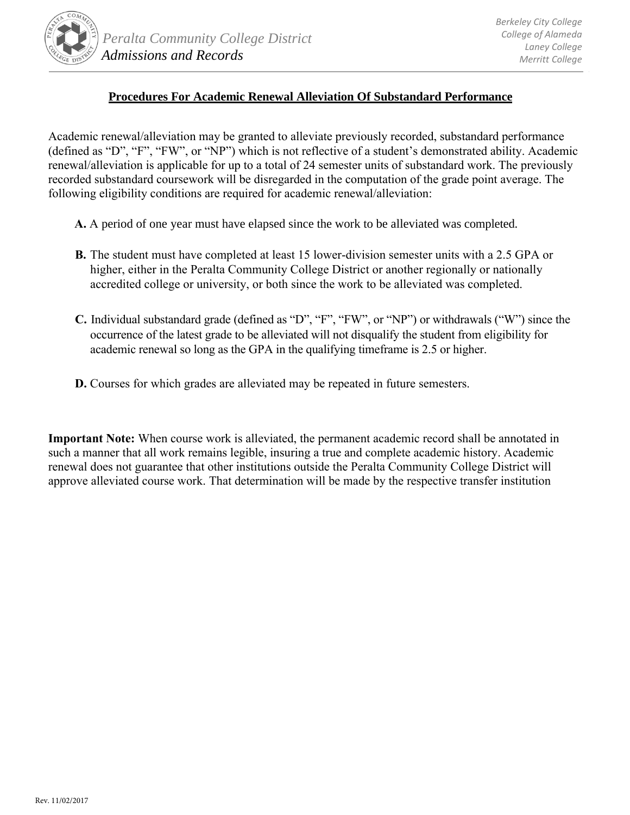

## **Procedures For Academic Renewal Alleviation Of Substandard Performance**

Academic renewal/alleviation may be granted to alleviate previously recorded, substandard performance (defined as "D", "F", "FW", or "NP") which is not reflective of a student's demonstrated ability. Academic renewal/alleviation is applicable for up to a total of 24 semester units of substandard work. The previously recorded substandard coursework will be disregarded in the computation of the grade point average. The following eligibility conditions are required for academic renewal/alleviation:

- **A.** A period of one year must have elapsed since the work to be alleviated was completed.
- **B.** The student must have completed at least 15 lower-division semester units with a 2.5 GPA or higher, either in the Peralta Community College District or another regionally or nationally accredited college or university, or both since the work to be alleviated was completed.
- **C.** Individual substandard grade (defined as "D", "F", "FW", or "NP") or withdrawals ("W") since the occurrence of the latest grade to be alleviated will not disqualify the student from eligibility for academic renewal so long as the GPA in the qualifying timeframe is 2.5 or higher.
- **D.** Courses for which grades are alleviated may be repeated in future semesters.

**Important Note:** When course work is alleviated, the permanent academic record shall be annotated in such a manner that all work remains legible, insuring a true and complete academic history. Academic renewal does not guarantee that other institutions outside the Peralta Community College District will approve alleviated course work. That determination will be made by the respective transfer institution